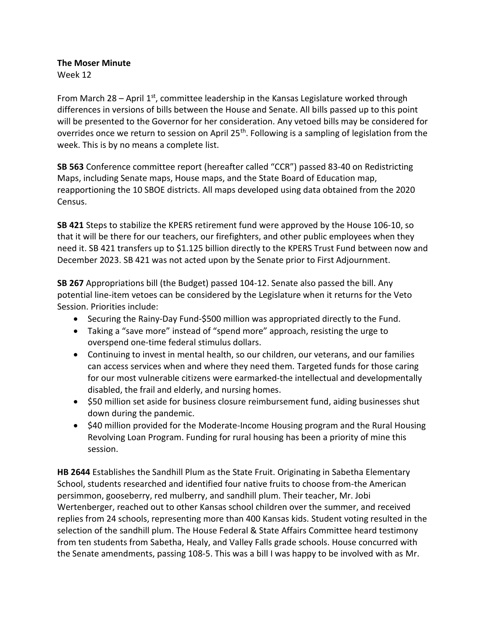**The Moser Minute**

Week 12

From March 28 – April  $1<sup>st</sup>$ , committee leadership in the Kansas Legislature worked through differences in versions of bills between the House and Senate. All bills passed up to this point will be presented to the Governor for her consideration. Any vetoed bills may be considered for overrides once we return to session on April 25<sup>th</sup>. Following is a sampling of legislation from the week. This is by no means a complete list.

**SB 563** Conference committee report (hereafter called "CCR") passed 83-40 on Redistricting Maps, including Senate maps, House maps, and the State Board of Education map, reapportioning the 10 SBOE districts. All maps developed using data obtained from the 2020 Census.

**SB 421** Steps to stabilize the KPERS retirement fund were approved by the House 106-10, so that it will be there for our teachers, our firefighters, and other public employees when they need it. [SB 421](http://li.kliss.loc/li/b2021_22/measures/sb421/) transfers up to \$1.125 billion directly to the KPERS Trust Fund between now and December 2023. SB 421 was not acted upon by the Senate prior to First Adjournment.

**[SB 267](http://www.kslegislature.org/li/b2021_22/measures/sb267/)** Appropriations bill (the Budget) passed [104-12.](http://www.kslegislature.org/li/b2021_22/measures/vote_view/je_20220401161121_079200/) Senate also passed the bill. Any potential line-item vetoes can be considered by the Legislature when it returns for the Veto Session. Priorities include:

- Securing the Rainy-Day Fund-\$500 million was appropriated directly to the Fund.
- Taking a "save more" instead of "spend more" approach, resisting the urge to overspend one-time federal stimulus dollars.
- Continuing to invest in mental health, so our children, our veterans, and our families can access services when and where they need them. Targeted funds for those caring for our most vulnerable citizens were earmarked-the intellectual and developmentally disabled, the frail and elderly, and nursing homes.
- \$50 million set aside for business closure reimbursement fund, aiding businesses shut down during the pandemic.
- \$40 million provided for the Moderate-Income Housing program and the Rural Housing Revolving Loan Program. Funding for rural housing has been a priority of mine this session.

**[HB 2644](http://www.kslegislature.org/li/b2021_22/measures/hb2644/)** Establishes the Sandhill Plum as the State Fruit. Originating in Sabetha Elementary School, students researched and identified four native fruits to choose from-the American persimmon, gooseberry, red mulberry, and sandhill plum. Their teacher, Mr. Jobi Wertenberger, reached out to other Kansas school children over the summer, and received replies from 24 schools, representing more than 400 Kansas kids. Student voting resulted in the selection of the sandhill plum. The House Federal & State Affairs Committee heard testimony from ten students from Sabetha, Healy, and Valley Falls grade schools. House concurred with the Senate amendments, passing 108-5. This was a bill I was happy to be involved with as Mr.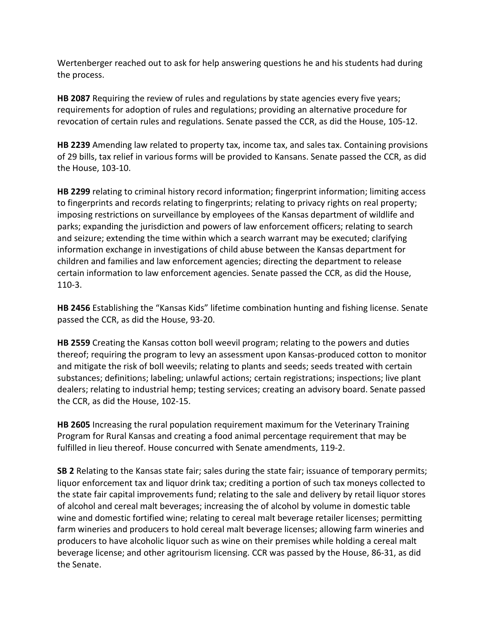Wertenberger reached out to ask for help answering questions he and his students had during the process.

**[HB 2087](http://www.kslegislature.org/li/b2021_22/measures/hb2087/)** Requiring the review of rules and regulations by state agencies every five years; requirements for adoption of rules and regulations; providing an alternative procedure for revocation of certain rules and regulations. Senate passed the CCR, as did the House, [105-12.](http://www.kslegislature.org/li/b2021_22/measures/vote_view/je_20220331165454_860801/)

**[HB 2239](http://www.kslegislature.org/li/b2021_22/measures/hb2239/)** Amending law related to property tax, income tax, and sales tax. Containing provisions of 29 bills, tax relief in various forms will be provided to Kansans. Senate passed the CCR, as did the House, [103-10.](http://www.kslegislature.org/li/b2021_22/measures/vote_view/je_20220401214835_178424/)

**[HB 2299](http://www.kslegislature.org/li/b2021_22/measures/hb2299/)** relating to criminal history record information; fingerprint information; limiting access to fingerprints and records relating to fingerprints; relating to privacy rights on real property; imposing restrictions on surveillance by employees of the Kansas department of wildlife and parks; expanding the jurisdiction and powers of law enforcement officers; relating to search and seizure; extending the time within which a search warrant may be executed; clarifying information exchange in investigations of child abuse between the Kansas department for children and families and law enforcement agencies; directing the department to release certain information to law enforcement agencies. Senate passed the CCR, as did the House, [110-3.](http://www.kslegislature.org/li/b2021_22/measures/vote_view/je_20220401182341_732850/)

**[HB 2456](http://www.kslegislature.org/li/b2021_22/measures/hb2456/)** Establishing the "Kansas Kids" lifetime combination hunting and fishing license. Senate passed the CCR, as did the House, [93-20.](http://www.kslegislature.org/li/b2021_22/measures/vote_view/je_20220331232254_958710/)

**[HB 2559](http://www.kslegislature.org/li/b2021_22/measures/hb2559/)** Creating the Kansas cotton boll weevil program; relating to the powers and duties thereof; requiring the program to levy an assessment upon Kansas-produced cotton to monitor and mitigate the risk of boll weevils; relating to plants and seeds; seeds treated with certain substances; definitions; labeling; unlawful actions; certain registrations; inspections; live plant dealers; relating to industrial hemp; testing services; creating an advisory board. Senate passed the CCR, as did the House, [102-15.](http://www.kslegislature.org/li/b2021_22/measures/vote_view/je_20220331165919_426008/)

**[HB 2605](http://www.kslegislature.org/li/b2021_22/measures/hb2605/)** Increasing the rural population requirement maximum for the Veterinary Training Program for Rural Kansas and creating a food animal percentage requirement that may be fulfilled in lieu thereof. House concurred with Senate amendments, [119-2.](http://www.kslegislature.org/li/b2021_22/measures/vote_view/je_20220329105434_510410/)

**[SB 2](http://www.kslegislature.org/li/b2021_22/measures/sb2/)** Relating to the Kansas state fair; sales during the state fair; issuance of temporary permits; liquor enforcement tax and liquor drink tax; crediting a portion of such tax moneys collected to the state fair capital improvements fund; relating to the sale and delivery by retail liquor stores of alcohol and cereal malt beverages; increasing the of alcohol by volume in domestic table wine and domestic fortified wine; relating to cereal malt beverage retailer licenses; permitting farm wineries and producers to hold cereal malt beverage licenses; allowing farm wineries and producers to have alcoholic liquor such as wine on their premises while holding a cereal malt beverage license; and other agritourism licensing. CCR was passed by the House, [86-31,](http://www.kslegislature.org/li/b2021_22/measures/vote_view/je_20220331165154_053344/) as did the Senate.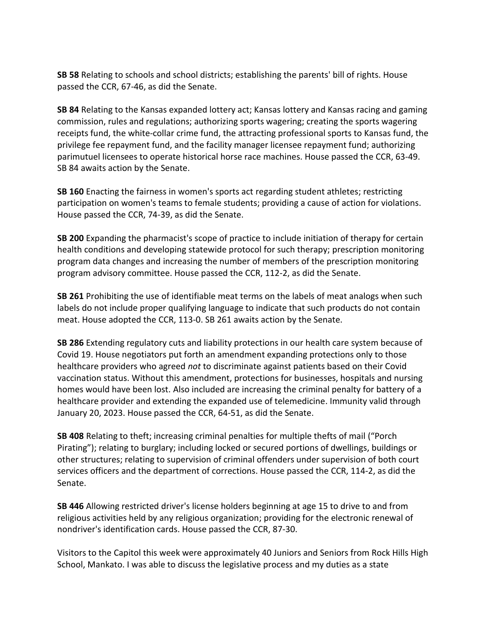**[SB 58](http://www.kslegislature.org/li/b2021_22/measures/sb58/)** Relating to schools and school districts; establishing the parents' bill of rights. House passed the CCR, [67-46,](http://www.kslegislature.org/li/b2021_22/measures/vote_view/je_20220401185725_166593/) as did the Senate.

**[SB 84](http://www.kslegislature.org/li/b2021_22/measures/sb84/)** Relating to the Kansas expanded lottery act; Kansas lottery and Kansas racing and gaming commission, rules and regulations; authorizing sports wagering; creating the sports wagering receipts fund, the white-collar crime fund, the attracting professional sports to Kansas fund, the privilege fee repayment fund, and the facility manager licensee repayment fund; authorizing parimutuel licensees to operate historical horse race machines. House passed the CCR, [63-49.](http://www.kslegislature.org/li/b2021_22/measures/vote_view/je_20220402003027_589945/) SB 84 awaits action by the Senate.

**[SB 160](http://www.kslegislature.org/li/b2021_22/measures/sb160/)** Enacting the fairness in women's sports act regarding student athletes; restricting participation on women's teams to female students; providing a cause of action for violations. House passed the CCR, [74-39,](http://www.kslegislature.org/li/b2021_22/measures/vote_view/je_20220401200106_330470/) as did the Senate.

**[SB 200](http://www.kslegislature.org/li/b2021_22/measures/sb200/)** Expanding the pharmacist's scope of practice to include initiation of therapy for certain health conditions and developing statewide protocol for such therapy; prescription monitoring program data changes and increasing the number of members of the prescription monitoring program advisory committee. House passed the CCR, [112-2,](http://www.kslegislature.org/li/b2021_22/measures/vote_view/je_20220401111627_618076/) as did the Senate.

**[SB 261](http://www.kslegislature.org/li/b2021_22/measures/sb261/)** Prohibiting the use of identifiable meat terms on the labels of meat analogs when such labels do not include proper qualifying language to indicate that such products do not contain meat. House adopted the CCR, [113-0.](http://www.kslegislature.org/li/b2021_22/measures/vote_view/je_20220401215632_537220/) SB 261 awaits action by the Senate.

**[SB 286](http://www.kslegislature.org/li/b2021_22/measures/sb286/)** Extending regulatory cuts and liability protections in our health care system because of Covid 19. House negotiators put forth an amendment expanding protections only to those healthcare providers who agreed *not* to discriminate against patients based on their Covid vaccination status. Without this amendment, protections for businesses, hospitals and nursing homes would have been lost. Also included are increasing the criminal penalty for battery of a healthcare provider and extending the expanded use of telemedicine. Immunity valid through January 20, 2023. House passed the CCR, [64-51,](http://www.kslegislature.org/li/b2021_22/measures/vote_view/je_20220401124420_311113/) as did the Senate.

**[SB 408](http://www.kslegislature.org/li/b2021_22/measures/sb408/)** Relating to theft; increasing criminal penalties for multiple thefts of mail ("Porch Pirating"); relating to burglary; including locked or secured portions of dwellings, buildings or other structures; relating to supervision of criminal offenders under supervision of both court services officers and the department of corrections. House passed the CCR, [114-2,](http://www.kslegislature.org/li/b2021_22/measures/vote_view/je_20220331211507_567652/) as did the Senate.

**[SB 446](http://www.kslegislature.org/li/b2021_22/measures/sb446/)** Allowing restricted driver's license holders beginning at age 15 to drive to and from religious activities held by any religious organization; providing for the electronic renewal of nondriver's identification cards. House passed the CCR, [87-30.](http://www.kslegislature.org/li/b2021_22/measures/vote_view/je_20220331150130_400131/)

Visitors to the Capitol this week were approximately 40 Juniors and Seniors from Rock Hills High School, Mankato. I was able to discuss the legislative process and my duties as a state